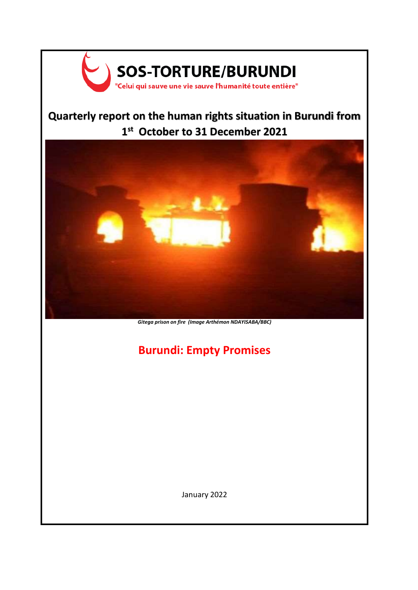

# **Quarterly report on the human rights situation in Burundi from 1 st October to 31 December 2021**



*Gitega prison on fire (Image Arthémon NDAYISABA/BBC)*

# **Burundi: Empty Promises**

January 2022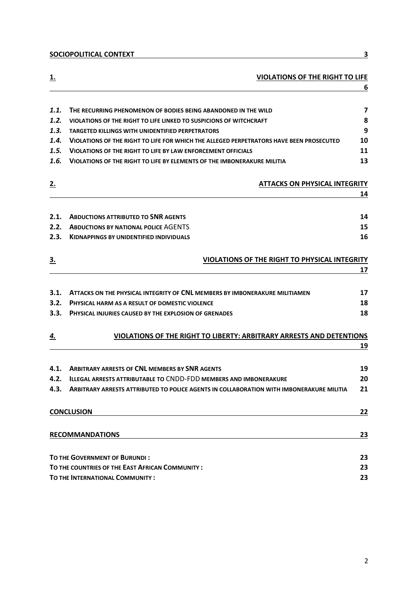**[SOCIOPOLITICAL CONTEXT](#page-2-0) 3**

| <u>ı.</u>                    | <b>VIOLATIONS OF THE RIGHT TO LIFE</b>                                                                                                                                                                                                                                                     | 6                                       |
|------------------------------|--------------------------------------------------------------------------------------------------------------------------------------------------------------------------------------------------------------------------------------------------------------------------------------------|-----------------------------------------|
| 1.1.<br>1.2.<br>1.3.<br>1.4. | THE RECURRING PHENOMENON OF BODIES BEING ABANDONED IN THE WILD<br>VIOLATIONS OF THE RIGHT TO LIFE LINKED TO SUSPICIONS OF WITCHCRAFT<br><b>TARGETED KILLINGS WITH UNIDENTIFIED PERPETRATORS</b><br>VIOLATIONS OF THE RIGHT TO LIFE FOR WHICH THE ALLEGED PERPETRATORS HAVE BEEN PROSECUTED | $\overline{\mathbf{z}}$<br>8<br>9<br>10 |
| 1.5.                         | VIOLATIONS OF THE RIGHT TO LIFE BY LAW ENFORCEMENT OFFICIALS                                                                                                                                                                                                                               | 11                                      |
| 1.6.                         | <b>VIOLATIONS OF THE RIGHT TO LIFE BY ELEMENTS OF THE IMBONERAKURE MILITIA</b>                                                                                                                                                                                                             | 13                                      |
| <u>2.</u>                    | <b>ATTACKS ON PHYSICAL INTEGRITY</b>                                                                                                                                                                                                                                                       |                                         |
|                              |                                                                                                                                                                                                                                                                                            | 14                                      |
| 2.1.                         | <b>ABDUCTIONS ATTRIBUTED TO SNR AGENTS</b>                                                                                                                                                                                                                                                 | 14                                      |
| 2.2.                         | <b>ABDUCTIONS BY NATIONAL POLICE AGENTS</b>                                                                                                                                                                                                                                                | 15                                      |
| 2.3.                         | <b>KIDNAPPINGS BY UNIDENTIFIED INDIVIDUALS</b>                                                                                                                                                                                                                                             | 16                                      |
| <u>3.</u>                    | <b>VIOLATIONS OF THE RIGHT TO PHYSICAL INTEGRITY</b>                                                                                                                                                                                                                                       |                                         |
|                              |                                                                                                                                                                                                                                                                                            | 17                                      |
| 3.1.                         | ATTACKS ON THE PHYSICAL INTEGRITY OF CNL MEMBERS BY IMBONERAKURE MILITIAMEN                                                                                                                                                                                                                | 17                                      |
| 3.2.                         | <b>PHYSICAL HARM AS A RESULT OF DOMESTIC VIOLENCE</b>                                                                                                                                                                                                                                      | 18                                      |
| 3.3.                         | <b>PHYSICAL INJURIES CAUSED BY THE EXPLOSION OF GRENADES</b>                                                                                                                                                                                                                               | 18                                      |
| <u>4.</u>                    | VIOLATIONS OF THE RIGHT TO LIBERTY: ARBITRARY ARRESTS AND DETENTIONS                                                                                                                                                                                                                       |                                         |
|                              |                                                                                                                                                                                                                                                                                            | 19                                      |
| 4.1.                         | <b>ARBITRARY ARRESTS OF CNL MEMBERS BY SNR AGENTS</b>                                                                                                                                                                                                                                      | 19                                      |
| 4.2.                         | <b>ILLEGAL ARRESTS ATTRIBUTABLE TO CNDD-FDD MEMBERS AND IMBONERAKURE</b>                                                                                                                                                                                                                   | 20                                      |
|                              | 4.3. ARBITRARY ARRESTS ATTRIBUTED TO POLICE AGENTS IN COLLABORATION WITH IMBONERAKURE MILITIA                                                                                                                                                                                              | 21                                      |
|                              | <b>CONCLUSION</b>                                                                                                                                                                                                                                                                          | <u>22</u>                               |
|                              | <b>RECOMMANDATIONS</b>                                                                                                                                                                                                                                                                     | 23                                      |
|                              | TO THE GOVERNMENT OF BURUNDI:                                                                                                                                                                                                                                                              | 23                                      |
|                              | TO THE COUNTRIES OF THE EAST AFRICAN COMMUNITY:                                                                                                                                                                                                                                            |                                         |
|                              | TO THE INTERNATIONAL COMMUNITY :                                                                                                                                                                                                                                                           |                                         |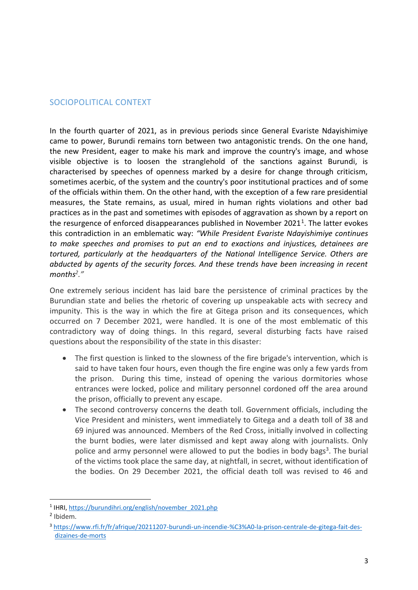# <span id="page-2-0"></span>SOCIOPOLITICAL CONTEXT

In the fourth quarter of 2021, as in previous periods since General Evariste Ndayishimiye came to power, Burundi remains torn between two antagonistic trends. On the one hand, the new President, eager to make his mark and improve the country's image, and whose visible objective is to loosen the stranglehold of the sanctions against Burundi, is characterised by speeches of openness marked by a desire for change through criticism, sometimes acerbic, of the system and the country's poor institutional practices and of some of the officials within them. On the other hand, with the exception of a few rare presidential measures, the State remains, as usual, mired in human rights violations and other bad practices as in the past and sometimes with episodes of aggravation as shown by a report on the resurgence of enforced disappearances published in November 2021<sup>1</sup>. The latter evokes this contradiction in an emblematic way: *"While President Evariste Ndayishimiye continues to make speeches and promises to put an end to exactions and injustices, detainees are tortured, particularly at the headquarters of the National Intelligence Service. Others are abducted by agents of the security forces. And these trends have been increasing in recent months<sup>2</sup> ."*

One extremely serious incident has laid bare the persistence of criminal practices by the Burundian state and belies the rhetoric of covering up unspeakable acts with secrecy and impunity. This is the way in which the fire at Gitega prison and its consequences, which occurred on 7 December 2021, were handled. It is one of the most emblematic of this contradictory way of doing things. In this regard, several disturbing facts have raised questions about the responsibility of the state in this disaster:

- The first question is linked to the slowness of the fire brigade's intervention, which is said to have taken four hours, even though the fire engine was only a few yards from the prison. During this time, instead of opening the various dormitories whose entrances were locked, police and military personnel cordoned off the area around the prison, officially to prevent any escape.
- The second controversy concerns the death toll. Government officials, including the Vice President and ministers, went immediately to Gitega and a death toll of 38 and 69 injured was announced. Members of the Red Cross, initially involved in collecting the burnt bodies, were later dismissed and kept away along with journalists. Only police and army personnel were allowed to put the bodies in body bags<sup>3</sup>. The burial of the victims took place the same day, at nightfall, in secret, without identification of the bodies. On 29 December 2021, the official death toll was revised to 46 and

<sup>&</sup>lt;sup>1</sup> IHRI, [https://burundihri.org/english/november\\_2021.php](https://burundihri.org/french/november_2021.php)

<sup>2</sup> Ibidem.

<sup>3</sup> [https://www.rfi.fr/fr/afrique/20211207-burundi-un-incendie-%C3%A0-la-prison-centrale-de-gitega-fait-des](https://www.rfi.fr/fr/afrique/20211207-burundi-un-incendie-%C3%A0-la-prison-centrale-de-gitega-fait-des-dizaines-de-morts)[dizaines-de-morts](https://www.rfi.fr/fr/afrique/20211207-burundi-un-incendie-%C3%A0-la-prison-centrale-de-gitega-fait-des-dizaines-de-morts)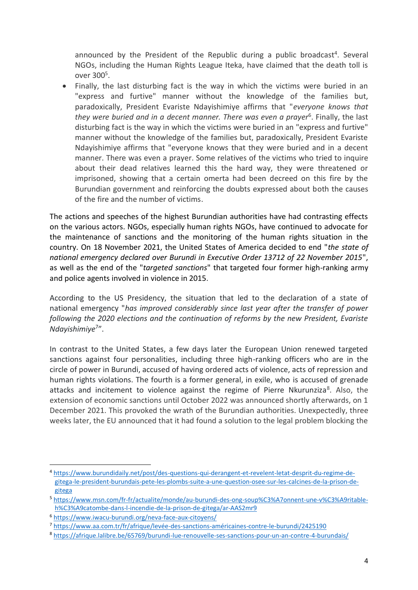announced by the President of the Republic during a public broadcast<sup>4</sup>. Several NGOs, including the Human Rights League Iteka, have claimed that the death toll is over 300<sup>5</sup>.

• Finally, the last disturbing fact is the way in which the victims were buried in an "express and furtive" manner without the knowledge of the families but, paradoxically, President Evariste Ndayishimiye affirms that "*everyone knows that they were buried and in a decent manner. There was even a prayer*<sup>6</sup> . Finally, the last disturbing fact is the way in which the victims were buried in an "express and furtive" manner without the knowledge of the families but, paradoxically, President Evariste Ndayishimiye affirms that "everyone knows that they were buried and in a decent manner. There was even a prayer. Some relatives of the victims who tried to inquire about their dead relatives learned this the hard way, they were threatened or imprisoned, showing that a certain omerta had been decreed on this fire by the Burundian government and reinforcing the doubts expressed about both the causes of the fire and the number of victims.

The actions and speeches of the highest Burundian authorities have had contrasting effects on the various actors. NGOs, especially human rights NGOs, have continued to advocate for the maintenance of sanctions and the monitoring of the human rights situation in the country. On 18 November 2021, the United States of America decided to end "*the state of national emergency declared over Burundi in Executive Order 13712 of 22 November 2015*", as well as the end of the "*targeted sanctions*" that targeted four former high-ranking army and police agents involved in violence in 2015.

According to the US Presidency, the situation that led to the declaration of a state of national emergency "*has improved considerably since last year after the transfer of power following the 2020 elections and the continuation of reforms by the new President, Evariste Ndayishimiye*<sup>7</sup> ".

In contrast to the United States, a few days later the European Union renewed targeted sanctions against four personalities, including three high-ranking officers who are in the circle of power in Burundi, accused of having ordered acts of violence, acts of repression and human rights violations. The fourth is a former general, in exile, who is accused of grenade attacks and incitement to violence against the regime of Pierre Nkurunziza<sup>8</sup>. Also, the extension of economic sanctions until October 2022 was announced shortly afterwards, on 1 December 2021. This provoked the wrath of the Burundian authorities. Unexpectedly, three weeks later, the EU announced that it had found a solution to the legal problem blocking the

<sup>4</sup> [https://www.burundidaily.net/post/des-questions-qui-derangent-et-revelent-letat-desprit-du-regime-de](https://www.burundidaily.net/post/des-questions-qui-derangent-et-revelent-letat-desprit-du-regime-de-gitega-le-president-burundais-pete-les-plombs-suite-a-une-question-osee-sur-les-calcines-de-la-prison-de-gitega)[gitega-le-president-burundais-pete-les-plombs-suite-a-une-question-osee-sur-les-calcines-de-la-prison-de](https://www.burundidaily.net/post/des-questions-qui-derangent-et-revelent-letat-desprit-du-regime-de-gitega-le-president-burundais-pete-les-plombs-suite-a-une-question-osee-sur-les-calcines-de-la-prison-de-gitega)[gitega](https://www.burundidaily.net/post/des-questions-qui-derangent-et-revelent-letat-desprit-du-regime-de-gitega-le-president-burundais-pete-les-plombs-suite-a-une-question-osee-sur-les-calcines-de-la-prison-de-gitega)

<sup>5</sup> [https://www.msn.com/fr-fr/actualite/monde/au-burundi-des-ong-soup%C3%A7onnent-une-v%C3%A9ritable](https://www.msn.com/fr-fr/actualite/monde/au-burundi-des-ong-soup%C3%A7onnent-une-v%C3%A9ritable-h%C3%A9catombe-dans-l-incendie-de-la-prison-de-gitega/ar-AAS2mr9)[h%C3%A9catombe-dans-l-incendie-de-la-prison-de-gitega/ar-AAS2mr9](https://www.msn.com/fr-fr/actualite/monde/au-burundi-des-ong-soup%C3%A7onnent-une-v%C3%A9ritable-h%C3%A9catombe-dans-l-incendie-de-la-prison-de-gitega/ar-AAS2mr9)

<sup>6</sup> <https://www.iwacu-burundi.org/neva-face-aux-citoyens/>

<sup>7</sup> <https://www.aa.com.tr/fr/afrique/levée-des-sanctions-américaines-contre-le-burundi/2425190>

<sup>8</sup> <https://afrique.lalibre.be/65769/burundi-lue-renouvelle-ses-sanctions-pour-un-an-contre-4-burundais/>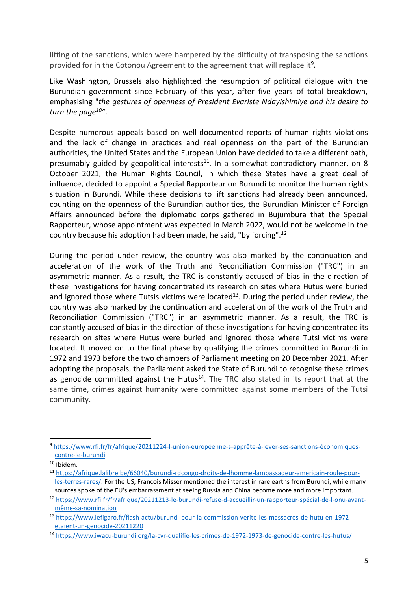lifting of the sanctions, which were hampered by the difficulty of transposing the sanctions provided for in the Cotonou Agreement to the agreement that will replace it<sup>9</sup>.

Like Washington, Brussels also highlighted the resumption of political dialogue with the Burundian government since February of this year, after five years of total breakdown, emphasising "*the gestures of openness of President Evariste Ndayishimiye and his desire to turn the page<sup>10</sup> "*.

Despite numerous appeals based on well-documented reports of human rights violations and the lack of change in practices and real openness on the part of the Burundian authorities, the United States and the European Union have decided to take a different path, presumably guided by geopolitical interests $^{11}$ . In a somewhat contradictory manner, on 8 October 2021, the Human Rights Council, in which these States have a great deal of influence, decided to appoint a Special Rapporteur on Burundi to monitor the human rights situation in Burundi. While these decisions to lift sanctions had already been announced, counting on the openness of the Burundian authorities, the Burundian Minister of Foreign Affairs announced before the diplomatic corps gathered in Bujumbura that the Special Rapporteur, whose appointment was expected in March 2022, would not be welcome in the country because his adoption had been made, he said, "by forcing".*<sup>12</sup>*

During the period under review, the country was also marked by the continuation and acceleration of the work of the Truth and Reconciliation Commission ("TRC") in an asymmetric manner. As a result, the TRC is constantly accused of bias in the direction of these investigations for having concentrated its research on sites where Hutus were buried and ignored those where Tutsis victims were located<sup>13</sup>. During the period under review, the country was also marked by the continuation and acceleration of the work of the Truth and Reconciliation Commission ("TRC") in an asymmetric manner. As a result, the TRC is constantly accused of bias in the direction of these investigations for having concentrated its research on sites where Hutus were buried and ignored those where Tutsi victims were located. It moved on to the final phase by qualifying the crimes committed in Burundi in 1972 and 1973 before the two chambers of Parliament meeting on 20 December 2021. After adopting the proposals, the Parliament asked the State of Burundi to recognise these crimes as genocide committed against the Hutus<sup>14</sup>. The TRC also stated in its report that at the same time, crimes against humanity were committed against some members of the Tutsi community.

<sup>9</sup> [https://www.rfi.fr/fr/afrique/20211224-l-union-européenne-s-apprête-à-lever-ses-sanctions-économiques](https://www.rfi.fr/fr/afrique/20211224-l-union-européenne-s-apprête-à-lever-ses-sanctions-économiques-contre-le-burundi)[contre-le-burundi](https://www.rfi.fr/fr/afrique/20211224-l-union-européenne-s-apprête-à-lever-ses-sanctions-économiques-contre-le-burundi)

 $10$  Ibidem.

<sup>11</sup> [https://afrique.lalibre.be/66040/burundi-rdcongo-droits-de-lhomme-lambassadeur-americain-roule-pour](https://afrique.lalibre.be/66040/burundi-rdcongo-droits-de-lhomme-lambassadeur-americain-roule-pour-les-terres-rares/)[les-terres-rares/.](https://afrique.lalibre.be/66040/burundi-rdcongo-droits-de-lhomme-lambassadeur-americain-roule-pour-les-terres-rares/) For the US, François Misser mentioned the interest in rare earths from Burundi, while many sources spoke of the EU's embarrassment at seeing Russia and China become more and more important.

<sup>12</sup> [https://www.rfi.fr/fr/afrique/20211213-le-burundi-refuse-d-accueillir-un-rapporteur-spécial-de-l-onu-avant](https://www.rfi.fr/fr/afrique/20211213-le-burundi-refuse-d-accueillir-un-rapporteur-spécial-de-l-onu-avant-même-sa-nomination)[même-sa-nomination](https://www.rfi.fr/fr/afrique/20211213-le-burundi-refuse-d-accueillir-un-rapporteur-spécial-de-l-onu-avant-même-sa-nomination)

<sup>13</sup> [https://www.lefigaro.fr/flash-actu/burundi-pour-la-commission-verite-les-massacres-de-hutu-en-1972](https://www.lefigaro.fr/flash-actu/burundi-pour-la-commission-verite-les-massacres-de-hutu-en-1972-etaient-un-genocide-20211220) [etaient-un-genocide-20211220](https://www.lefigaro.fr/flash-actu/burundi-pour-la-commission-verite-les-massacres-de-hutu-en-1972-etaient-un-genocide-20211220)

<sup>14</sup> <https://www.iwacu-burundi.org/la-cvr-qualifie-les-crimes-de-1972-1973-de-genocide-contre-les-hutus/>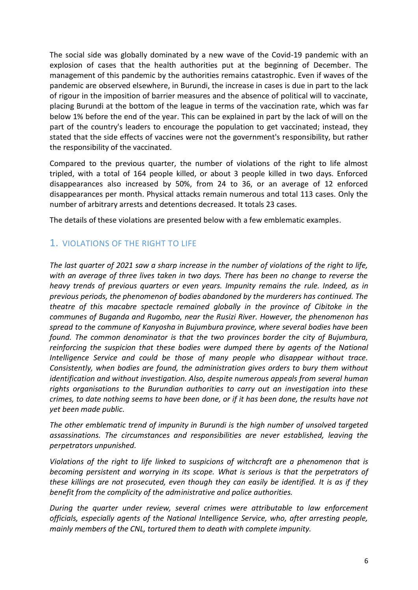The social side was globally dominated by a new wave of the Covid-19 pandemic with an explosion of cases that the health authorities put at the beginning of December. The management of this pandemic by the authorities remains catastrophic. Even if waves of the pandemic are observed elsewhere, in Burundi, the increase in cases is due in part to the lack of rigour in the imposition of barrier measures and the absence of political will to vaccinate, placing Burundi at the bottom of the league in terms of the vaccination rate, which was far below 1% before the end of the year. This can be explained in part by the lack of will on the part of the country's leaders to encourage the population to get vaccinated; instead, they stated that the side effects of vaccines were not the government's responsibility, but rather the responsibility of the vaccinated.

Compared to the previous quarter, the number of violations of the right to life almost tripled, with a total of 164 people killed, or about 3 people killed in two days. Enforced disappearances also increased by 50%, from 24 to 36, or an average of 12 enforced disappearances per month. Physical attacks remain numerous and total 113 cases. Only the number of arbitrary arrests and detentions decreased. It totals 23 cases.

The details of these violations are presented below with a few emblematic examples.

# <span id="page-5-0"></span>1. VIOLATIONS OF THE RIGHT TO LIFE

*The last quarter of 2021 saw a sharp increase in the number of violations of the right to life, with an average of three lives taken in two days. There has been no change to reverse the heavy trends of previous quarters or even years. Impunity remains the rule. Indeed, as in previous periods, the phenomenon of bodies abandoned by the murderers has continued. The theatre of this macabre spectacle remained globally in the province of Cibitoke in the communes of Buganda and Rugombo, near the Rusizi River. However, the phenomenon has spread to the commune of Kanyosha in Bujumbura province, where several bodies have been found. The common denominator is that the two provinces border the city of Bujumbura, reinforcing the suspicion that these bodies were dumped there by agents of the National Intelligence Service and could be those of many people who disappear without trace. Consistently, when bodies are found, the administration gives orders to bury them without identification and without investigation. Also, despite numerous appeals from several human rights organisations to the Burundian authorities to carry out an investigation into these crimes, to date nothing seems to have been done, or if it has been done, the results have not yet been made public.*

*The other emblematic trend of impunity in Burundi is the high number of unsolved targeted assassinations. The circumstances and responsibilities are never established, leaving the perpetrators unpunished.*

*Violations of the right to life linked to suspicions of witchcraft are a phenomenon that is becoming persistent and worrying in its scope. What is serious is that the perpetrators of these killings are not prosecuted, even though they can easily be identified. It is as if they benefit from the complicity of the administrative and police authorities.* 

*During the quarter under review, several crimes were attributable to law enforcement officials, especially agents of the National Intelligence Service, who, after arresting people, mainly members of the CNL, tortured them to death with complete impunity.*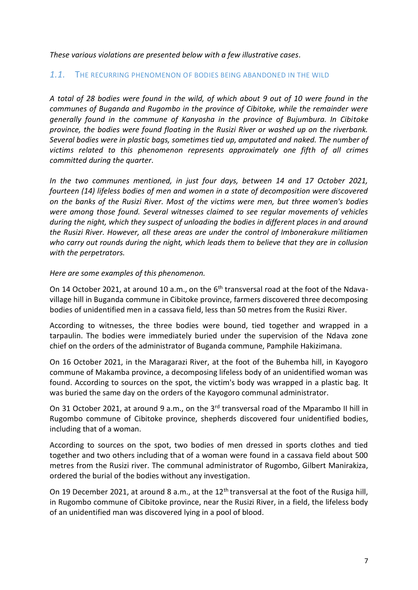*These various violations are presented below with a few illustrative cases.*

#### <span id="page-6-0"></span>*1.1.* THE RECURRING PHENOMENON OF BODIES BEING ABANDONED IN THE WILD

*A total of 28 bodies were found in the wild, of which about 9 out of 10 were found in the communes of Buganda and Rugombo in the province of Cibitoke, while the remainder were generally found in the commune of Kanyosha in the province of Bujumbura. In Cibitoke province, the bodies were found floating in the Rusizi River or washed up on the riverbank. Several bodies were in plastic bags, sometimes tied up, amputated and naked. The number of victims related to this phenomenon represents approximately one fifth of all crimes committed during the quarter.*

*In the two communes mentioned, in just four days, between 14 and 17 October 2021, fourteen (14) lifeless bodies of men and women in a state of decomposition were discovered on the banks of the Rusizi River. Most of the victims were men, but three women's bodies were among those found. Several witnesses claimed to see regular movements of vehicles during the night, which they suspect of unloading the bodies in different places in and around the Rusizi River. However, all these areas are under the control of Imbonerakure militiamen who carry out rounds during the night, which leads them to believe that they are in collusion with the perpetrators.*

#### *Here are some examples of this phenomenon.*

On 14 October 2021, at around 10 a.m., on the 6<sup>th</sup> transversal road at the foot of the Ndavavillage hill in Buganda commune in Cibitoke province, farmers discovered three decomposing bodies of unidentified men in a cassava field, less than 50 metres from the Rusizi River.

According to witnesses, the three bodies were bound, tied together and wrapped in a tarpaulin. The bodies were immediately buried under the supervision of the Ndava zone chief on the orders of the administrator of Buganda commune, Pamphile Hakizimana.

On 16 October 2021, in the Maragarazi River, at the foot of the Buhemba hill, in Kayogoro commune of Makamba province, a decomposing lifeless body of an unidentified woman was found. According to sources on the spot, the victim's body was wrapped in a plastic bag. It was buried the same day on the orders of the Kayogoro communal administrator.

On 31 October 2021, at around 9 a.m., on the 3<sup>rd</sup> transversal road of the Mparambo II hill in Rugombo commune of Cibitoke province, shepherds discovered four unidentified bodies, including that of a woman.

According to sources on the spot, two bodies of men dressed in sports clothes and tied together and two others including that of a woman were found in a cassava field about 500 metres from the Rusizi river. The communal administrator of Rugombo, Gilbert Manirakiza, ordered the burial of the bodies without any investigation.

On 19 December 2021, at around 8 a.m., at the 12<sup>th</sup> transversal at the foot of the Rusiga hill, in Rugombo commune of Cibitoke province, near the Rusizi River, in a field, the lifeless body of an unidentified man was discovered lying in a pool of blood.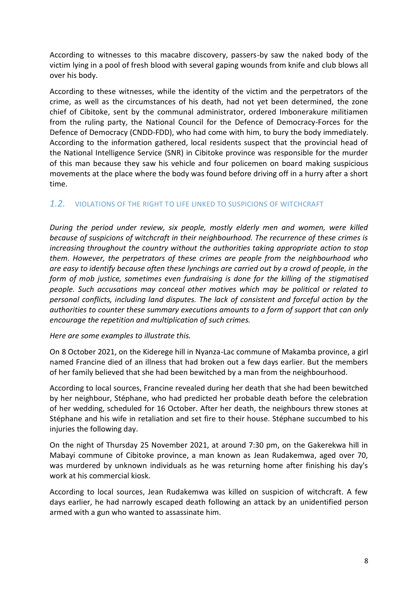According to witnesses to this macabre discovery, passers-by saw the naked body of the victim lying in a pool of fresh blood with several gaping wounds from knife and club blows all over his body.

According to these witnesses, while the identity of the victim and the perpetrators of the crime, as well as the circumstances of his death, had not yet been determined, the zone chief of Cibitoke, sent by the communal administrator, ordered Imbonerakure militiamen from the ruling party, the National Council for the Defence of Democracy-Forces for the Defence of Democracy (CNDD-FDD), who had come with him, to bury the body immediately. According to the information gathered, local residents suspect that the provincial head of the National Intelligence Service (SNR) in Cibitoke province was responsible for the murder of this man because they saw his vehicle and four policemen on board making suspicious movements at the place where the body was found before driving off in a hurry after a short time.

### <span id="page-7-0"></span>*1.2.* VIOLATIONS OF THE RIGHT TO LIFE LINKED TO SUSPICIONS OF WITCHCRAFT

*During the period under review, six people, mostly elderly men and women, were killed because of suspicions of witchcraft in their neighbourhood. The recurrence of these crimes is increasing throughout the country without the authorities taking appropriate action to stop them. However, the perpetrators of these crimes are people from the neighbourhood who are easy to identify because often these lynchings are carried out by a crowd of people, in the form of mob justice, sometimes even fundraising is done for the killing of the stigmatised people. Such accusations may conceal other motives which may be political or related to personal conflicts, including land disputes. The lack of consistent and forceful action by the authorities to counter these summary executions amounts to a form of support that can only encourage the repetition and multiplication of such crimes.* 

#### *Here are some examples to illustrate this.*

On 8 October 2021, on the Kiderege hill in Nyanza-Lac commune of Makamba province, a girl named Francine died of an illness that had broken out a few days earlier. But the members of her family believed that she had been bewitched by a man from the neighbourhood.

According to local sources, Francine revealed during her death that she had been bewitched by her neighbour, Stéphane, who had predicted her probable death before the celebration of her wedding, scheduled for 16 October. After her death, the neighbours threw stones at Stéphane and his wife in retaliation and set fire to their house. Stéphane succumbed to his injuries the following day.

On the night of Thursday 25 November 2021, at around 7:30 pm, on the Gakerekwa hill in Mabayi commune of Cibitoke province, a man known as Jean Rudakemwa, aged over 70, was murdered by unknown individuals as he was returning home after finishing his day's work at his commercial kiosk.

According to local sources, Jean Rudakemwa was killed on suspicion of witchcraft. A few days earlier, he had narrowly escaped death following an attack by an unidentified person armed with a gun who wanted to assassinate him.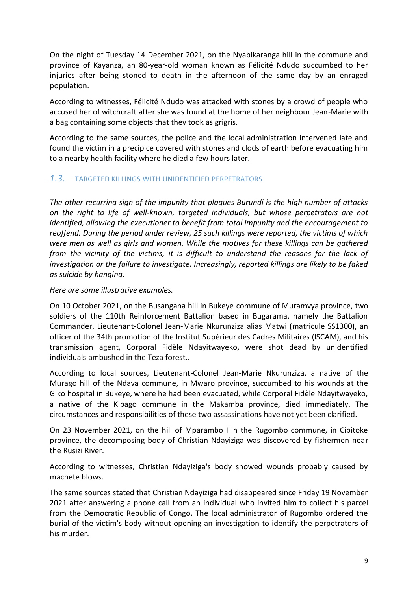On the night of Tuesday 14 December 2021, on the Nyabikaranga hill in the commune and province of Kayanza, an 80-year-old woman known as Félicité Ndudo succumbed to her injuries after being stoned to death in the afternoon of the same day by an enraged population.

According to witnesses, Félicité Ndudo was attacked with stones by a crowd of people who accused her of witchcraft after she was found at the home of her neighbour Jean-Marie with a bag containing some objects that they took as grigris.

According to the same sources, the police and the local administration intervened late and found the victim in a precipice covered with stones and clods of earth before evacuating him to a nearby health facility where he died a few hours later.

### <span id="page-8-0"></span>*1.3.* TARGETED KILLINGS WITH UNIDENTIFIED PERPETRATORS

*The other recurring sign of the impunity that plagues Burundi is the high number of attacks on the right to life of well-known, targeted individuals, but whose perpetrators are not identified, allowing the executioner to benefit from total impunity and the encouragement to reoffend. During the period under review, 25 such killings were reported, the victims of which were men as well as girls and women. While the motives for these killings can be gathered from the vicinity of the victims, it is difficult to understand the reasons for the lack of investigation or the failure to investigate. Increasingly, reported killings are likely to be faked as suicide by hanging.* 

*Here are some illustrative examples.*

On 10 October 2021, on the Busangana hill in Bukeye commune of Muramvya province, two soldiers of the 110th Reinforcement Battalion based in Bugarama, namely the Battalion Commander, Lieutenant-Colonel Jean-Marie Nkurunziza alias Matwi (matricule SS1300), an officer of the 34th promotion of the Institut Supérieur des Cadres Militaires (lSCAM), and his transmission agent, Corporal Fidèle Ndayitwayeko, were shot dead by unidentified individuals ambushed in the Teza forest..

According to local sources, Lieutenant-Colonel Jean-Marie Nkurunziza, a native of the Murago hill of the Ndava commune, in Mwaro province, succumbed to his wounds at the Giko hospital in Bukeye, where he had been evacuated, while Corporal Fidèle Ndayitwayeko, a native of the Kibago commune in the Makamba province, died immediately. The circumstances and responsibilities of these two assassinations have not yet been clarified.

On 23 November 2021, on the hill of Mparambo I in the Rugombo commune, in Cibitoke province, the decomposing body of Christian Ndayiziga was discovered by fishermen near the Rusizi River.

According to witnesses, Christian Ndayiziga's body showed wounds probably caused by machete blows.

The same sources stated that Christian Ndayiziga had disappeared since Friday 19 November 2021 after answering a phone call from an individual who invited him to collect his parcel from the Democratic Republic of Congo. The local administrator of Rugombo ordered the burial of the victim's body without opening an investigation to identify the perpetrators of his murder.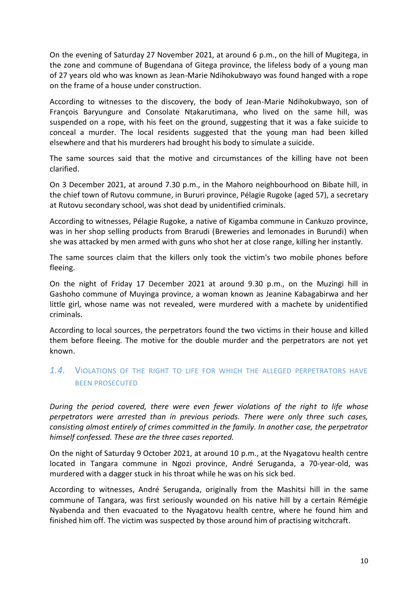On the evening of Saturday 27 November 2021, at around 6 p.m., on the hill of Mugitega, in the zone and commune of Bugendana of Gitega province, the lifeless body of a young man of 27 years old who was known as Jean-Marie Ndihokubwayo was found hanged with a rope on the frame of a house under construction.

According to witnesses to the discovery, the body of Jean-Marie Ndihokubwayo, son of François Baryungure and Consolate Ntakarutimana, who lived on the same hill, was suspended on a rope, with his feet on the ground, suggesting that it was a fake suicide to conceal a murder. The local residents suggested that the young man had been killed elsewhere and that his murderers had brought his body to simulate a suicide.

The same sources said that the motive and circumstances of the killing have not been clarified.

On 3 December 2021, at around 7.30 p.m., in the Mahoro neighbourhood on Bibate hill, in the chief town of Rutovu commune, in Bururi province, Pélagie Rugoke (aged 57), a secretary at Rutovu secondary school, was shot dead by unidentified criminals.

According to witnesses, Pélagie Rugoke, a native of Kigamba commune in Cankuzo province, was in her shop selling products from Brarudi (Breweries and lemonades in Burundi) when she was attacked by men armed with guns who shot her at close range, killing her instantly.

The same sources claim that the killers only took the victim's two mobile phones before fleeing.

On the night of Friday 17 December 2021 at around 9.30 p.m., on the Muzingi hill in Gashoho commune of Muyinga province, a woman known as Jeanine Kabagabirwa and her little girl, whose name was not revealed, were murdered with a machete by unidentified criminals.

According to local sources, the perpetrators found the two victims in their house and killed them before fleeing. The motive for the double murder and the perpetrators are not yet known.

# <span id="page-9-0"></span>*1.4.* VIOLATIONS OF THE RIGHT TO LIFE FOR WHICH THE ALLEGED PERPETRATORS HAVE BEEN PROSECUTED

*During the period covered, there were even fewer violations of the right to life whose perpetrators were arrested than in previous periods. There were only three such cases, consisting almost entirely of crimes committed in the family. In another case, the perpetrator himself confessed. These are the three cases reported.* 

On the night of Saturday 9 October 2021, at around 10 p.m., at the Nyagatovu health centre located in Tangara commune in Ngozi province, André Seruganda, a 70-year-old, was murdered with a dagger stuck in his throat while he was on his sick bed.

According to witnesses, André Seruganda, originally from the Mashitsi hill in the same commune of Tangara, was first seriously wounded on his native hill by a certain Rémégie Nyabenda and then evacuated to the Nyagatovu health centre, where he found him and finished him off. The victim was suspected by those around him of practising witchcraft.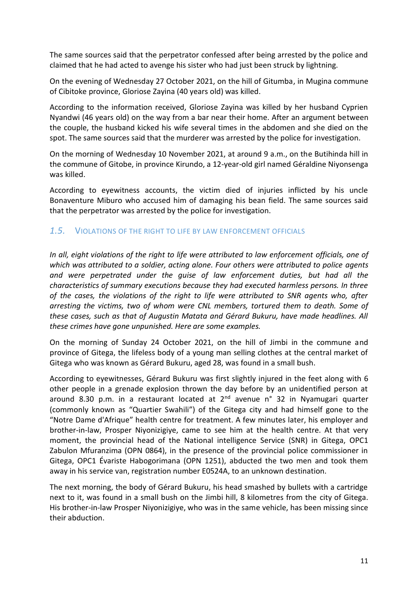The same sources said that the perpetrator confessed after being arrested by the police and claimed that he had acted to avenge his sister who had just been struck by lightning.

On the evening of Wednesday 27 October 2021, on the hill of Gitumba, in Mugina commune of Cibitoke province, Gloriose Zayina (40 years old) was killed.

According to the information received, Gloriose Zayina was killed by her husband Cyprien Nyandwi (46 years old) on the way from a bar near their home. After an argument between the couple, the husband kicked his wife several times in the abdomen and she died on the spot. The same sources said that the murderer was arrested by the police for investigation.

On the morning of Wednesday 10 November 2021, at around 9 a.m., on the Butihinda hill in the commune of Gitobe, in province Kirundo, a 12-year-old girl named Géraldine Niyonsenga was killed.

According to eyewitness accounts, the victim died of injuries inflicted by his uncle Bonaventure Miburo who accused him of damaging his bean field. The same sources said that the perpetrator was arrested by the police for investigation.

### <span id="page-10-0"></span>*1.5.* VIOLATIONS OF THE RIGHT TO LIFE BY LAW ENFORCEMENT OFFICIALS

In all, eight violations of the right to life were attributed to law enforcement officials, one of *which was attributed to a soldier, acting alone. Four others were attributed to police agents and were perpetrated under the guise of law enforcement duties, but had all the characteristics of summary executions because they had executed harmless persons. In three of the cases, the violations of the right to life were attributed to SNR agents who, after arresting the victims, two of whom were CNL members, tortured them to death. Some of these cases, such as that of Augustin Matata and Gérard Bukuru, have made headlines. All these crimes have gone unpunished. Here are some examples.* 

On the morning of Sunday 24 October 2021, on the hill of Jimbi in the commune and province of Gitega, the lifeless body of a young man selling clothes at the central market of Gitega who was known as Gérard Bukuru, aged 28, was found in a small bush.

According to eyewitnesses, Gérard Bukuru was first slightly injured in the feet along with 6 other people in a grenade explosion thrown the day before by an unidentified person at around 8.30 p.m. in a restaurant located at  $2<sup>nd</sup>$  avenue n° 32 in Nyamugari quarter (commonly known as "Quartier Swahili") of the Gitega city and had himself gone to the "Notre Dame d'Afrique" health centre for treatment. A few minutes later, his employer and brother-in-law, Prosper Niyonizigiye, came to see him at the health centre. At that very moment, the provincial head of the National intelligence Service (SNR) in Gitega, OPC1 Zabulon Mfuranzima (OPN 0864), in the presence of the provincial police commissioner in Gitega, OPC1 Évariste Habogorimana (OPN 1251), abducted the two men and took them away in his service van, registration number E0524A, to an unknown destination.

The next morning, the body of Gérard Bukuru, his head smashed by bullets with a cartridge next to it, was found in a small bush on the Jimbi hill, 8 kilometres from the city of Gitega. His brother-in-law Prosper Niyonizigiye, who was in the same vehicle, has been missing since their abduction.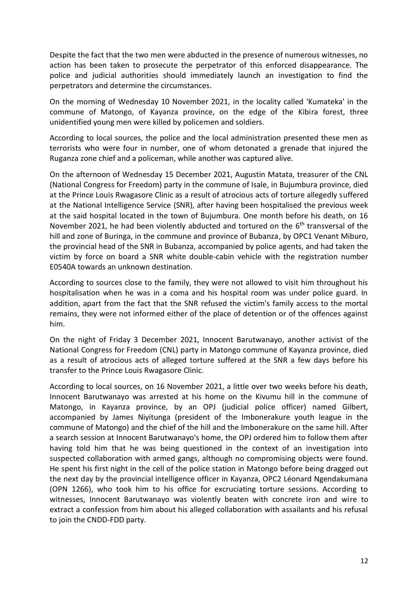Despite the fact that the two men were abducted in the presence of numerous witnesses, no action has been taken to prosecute the perpetrator of this enforced disappearance. The police and judicial authorities should immediately launch an investigation to find the perpetrators and determine the circumstances.

On the morning of Wednesday 10 November 2021, in the locality called 'Kumateka' in the commune of Matongo, of Kayanza province, on the edge of the Kibira forest, three unidentified young men were killed by policemen and soldiers.

According to local sources, the police and the local administration presented these men as terrorists who were four in number, one of whom detonated a grenade that injured the Ruganza zone chief and a policeman, while another was captured alive.

On the afternoon of Wednesday 15 December 2021, Augustin Matata, treasurer of the CNL (National Congress for Freedom) party in the commune of Isale, in Bujumbura province, died at the Prince Louis Rwagasore Clinic as a result of atrocious acts of torture allegedly suffered at the National Intelligence Service (SNR), after having been hospitalised the previous week at the said hospital located in the town of Bujumbura. One month before his death, on 16 November 2021, he had been violently abducted and tortured on the 6<sup>th</sup> transversal of the hill and zone of Buringa, in the commune and province of Bubanza, by OPC1 Venant Miburo, the provincial head of the SNR in Bubanza, accompanied by police agents, and had taken the victim by force on board a SNR white double-cabin vehicle with the registration number E0540A towards an unknown destination.

According to sources close to the family, they were not allowed to visit him throughout his hospitalisation when he was in a coma and his hospital room was under police guard. In addition, apart from the fact that the SNR refused the victim's family access to the mortal remains, they were not informed either of the place of detention or of the offences against him.

On the night of Friday 3 December 2021, Innocent Barutwanayo, another activist of the National Congress for Freedom (CNL) party in Matongo commune of Kayanza province, died as a result of atrocious acts of alleged torture suffered at the SNR a few days before his transfer to the Prince Louis Rwagasore Clinic.

According to local sources, on 16 November 2021, a little over two weeks before his death, Innocent Barutwanayo was arrested at his home on the Kivumu hill in the commune of Matongo, in Kayanza province, by an OPJ (judicial police officer) named Gilbert, accompanied by James Niyitunga (president of the Imbonerakure youth league in the commune of Matongo) and the chief of the hill and the Imbonerakure on the same hill. After a search session at Innocent Barutwanayo's home, the OPJ ordered him to follow them after having told him that he was being questioned in the context of an investigation into suspected collaboration with armed gangs, although no compromising objects were found. He spent his first night in the cell of the police station in Matongo before being dragged out the next day by the provincial intelligence officer in Kayanza, OPC2 Léonard Ngendakumana (OPN 1266), who took him to his office for excruciating torture sessions. According to witnesses, Innocent Barutwanayo was violently beaten with concrete iron and wire to extract a confession from him about his alleged collaboration with assailants and his refusal to join the CNDD-FDD party.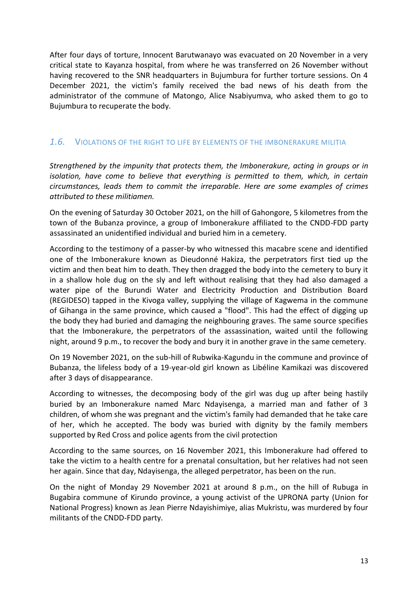After four days of torture, Innocent Barutwanayo was evacuated on 20 November in a very critical state to Kayanza hospital, from where he was transferred on 26 November without having recovered to the SNR headquarters in Bujumbura for further torture sessions. On 4 December 2021, the victim's family received the bad news of his death from the administrator of the commune of Matongo, Alice Nsabiyumva, who asked them to go to Bujumbura to recuperate the body.

### <span id="page-12-0"></span>*1.6.* VIOLATIONS OF THE RIGHT TO LIFE BY ELEMENTS OF THE IMBONERAKURE MILITIA

*Strengthened by the impunity that protects them, the Imbonerakure, acting in groups or in isolation, have come to believe that everything is permitted to them, which, in certain circumstances, leads them to commit the irreparable. Here are some examples of crimes attributed to these militiamen.*

On the evening of Saturday 30 October 2021, on the hill of Gahongore, 5 kilometres from the town of the Bubanza province, a group of Imbonerakure affiliated to the CNDD-FDD party assassinated an unidentified individual and buried him in a cemetery.

According to the testimony of a passer-by who witnessed this macabre scene and identified one of the Imbonerakure known as Dieudonné Hakiza, the perpetrators first tied up the victim and then beat him to death. They then dragged the body into the cemetery to bury it in a shallow hole dug on the sly and left without realising that they had also damaged a water pipe of the Burundi Water and Electricity Production and Distribution Board (REGIDESO) tapped in the Kivoga valley, supplying the village of Kagwema in the commune of Gihanga in the same province, which caused a "flood". This had the effect of digging up the body they had buried and damaging the neighbouring graves. The same source specifies that the Imbonerakure, the perpetrators of the assassination, waited until the following night, around 9 p.m., to recover the body and bury it in another grave in the same cemetery.

On 19 November 2021, on the sub-hill of Rubwika-Kagundu in the commune and province of Bubanza, the lifeless body of a 19-year-old girl known as Libéline Kamikazi was discovered after 3 days of disappearance.

According to witnesses, the decomposing body of the girl was dug up after being hastily buried by an Imbonerakure named Marc Ndayisenga, a married man and father of 3 children, of whom she was pregnant and the victim's family had demanded that he take care of her, which he accepted. The body was buried with dignity by the family members supported by Red Cross and police agents from the civil protection

According to the same sources, on 16 November 2021, this Imbonerakure had offered to take the victim to a health centre for a prenatal consultation, but her relatives had not seen her again. Since that day, Ndayisenga, the alleged perpetrator, has been on the run.

On the night of Monday 29 November 2021 at around 8 p.m., on the hill of Rubuga in Bugabira commune of Kirundo province, a young activist of the UPRONA party (Union for National Progress) known as Jean Pierre Ndayishimiye, alias Mukristu, was murdered by four militants of the CNDD-FDD party.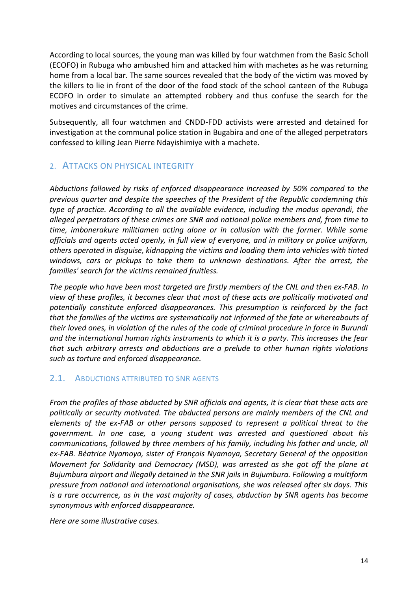According to local sources, the young man was killed by four watchmen from the Basic Scholl (ECOFO) in Rubuga who ambushed him and attacked him with machetes as he was returning home from a local bar. The same sources revealed that the body of the victim was moved by the killers to lie in front of the door of the food stock of the school canteen of the Rubuga ECOFO in order to simulate an attempted robbery and thus confuse the search for the motives and circumstances of the crime.

Subsequently, all four watchmen and CNDD-FDD activists were arrested and detained for investigation at the communal police station in Bugabira and one of the alleged perpetrators confessed to killing Jean Pierre Ndayishimiye with a machete.

# <span id="page-13-0"></span>2. ATTACKS ON PHYSICAL INTEGRITY

*Abductions followed by risks of enforced disappearance increased by 50% compared to the previous quarter and despite the speeches of the President of the Republic condemning this type of practice. According to all the available evidence, including the modus operandi, the alleged perpetrators of these crimes are SNR and national police members and, from time to time, imbonerakure militiamen acting alone or in collusion with the former. While some officials and agents acted openly, in full view of everyone, and in military or police uniform, others operated in disguise, kidnapping the victims and loading them into vehicles with tinted windows, cars or pickups to take them to unknown destinations. After the arrest, the families' search for the victims remained fruitless.* 

*The people who have been most targeted are firstly members of the CNL and then ex-FAB. In view of these profiles, it becomes clear that most of these acts are politically motivated and potentially constitute enforced disappearances. This presumption is reinforced by the fact that the families of the victims are systematically not informed of the fate or whereabouts of their loved ones, in violation of the rules of the code of criminal procedure in force in Burundi and the international human rights instruments to which it is a party. This increases the fear that such arbitrary arrests and abductions are a prelude to other human rights violations such as torture and enforced disappearance.*

# <span id="page-13-1"></span>2.1. ABDUCTIONS ATTRIBUTED TO SNR AGENTS

*From the profiles of those abducted by SNR officials and agents, it is clear that these acts are politically or security motivated. The abducted persons are mainly members of the CNL and elements of the ex-FAB or other persons supposed to represent a political threat to the government. In one case, a young student was arrested and questioned about his communications, followed by three members of his family, including his father and uncle, all ex-FAB. Béatrice Nyamoya, sister of François Nyamoya, Secretary General of the opposition Movement for Solidarity and Democracy (MSD), was arrested as she got off the plane at Bujumbura airport and illegally detained in the SNR jails in Bujumbura. Following a multiform pressure from national and international organisations, she was released after six days. This is a rare occurrence, as in the vast majority of cases, abduction by SNR agents has become synonymous with enforced disappearance.* 

*Here are some illustrative cases.*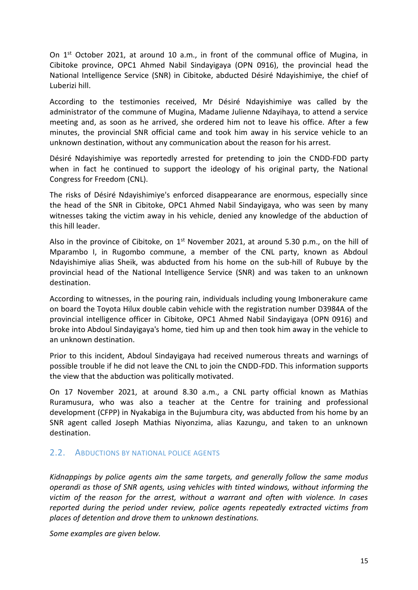On 1st October 2021, at around 10 a.m., in front of the communal office of Mugina, in Cibitoke province, OPC1 Ahmed Nabil Sindayigaya (OPN 0916), the provincial head the National Intelligence Service (SNR) in Cibitoke, abducted Désiré Ndayishimiye, the chief of Luberizi hill.

According to the testimonies received, Mr Désiré Ndayishimiye was called by the administrator of the commune of Mugina, Madame Julienne Ndayihaya, to attend a service meeting and, as soon as he arrived, she ordered him not to leave his office. After a few minutes, the provincial SNR official came and took him away in his service vehicle to an unknown destination, without any communication about the reason for his arrest.

Désiré Ndayishimiye was reportedly arrested for pretending to join the CNDD-FDD party when in fact he continued to support the ideology of his original party, the National Congress for Freedom (CNL).

The risks of Désiré Ndayishimiye's enforced disappearance are enormous, especially since the head of the SNR in Cibitoke, OPC1 Ahmed Nabil Sindayigaya, who was seen by many witnesses taking the victim away in his vehicle, denied any knowledge of the abduction of this hill leader.

Also in the province of Cibitoke, on  $1<sup>st</sup>$  November 2021, at around 5.30 p.m., on the hill of Mparambo I, in Rugombo commune, a member of the CNL party, known as Abdoul Ndayishimiye alias Sheik, was abducted from his home on the sub-hill of Rubuye by the provincial head of the National Intelligence Service (SNR) and was taken to an unknown destination.

According to witnesses, in the pouring rain, individuals including young Imbonerakure came on board the Toyota Hilux double cabin vehicle with the registration number D3984A of the provincial intelligence officer in Cibitoke, OPC1 Ahmed Nabil Sindayigaya (OPN 0916) and broke into Abdoul Sindayigaya's home, tied him up and then took him away in the vehicle to an unknown destination.

Prior to this incident, Abdoul Sindayigaya had received numerous threats and warnings of possible trouble if he did not leave the CNL to join the CNDD-FDD. This information supports the view that the abduction was politically motivated.

On 17 November 2021, at around 8.30 a.m., a CNL party official known as Mathias Ruramusura, who was also a teacher at the Centre for training and professional development (CFPP) in Nyakabiga in the Bujumbura city, was abducted from his home by an SNR agent called Joseph Mathias Niyonzima, alias Kazungu, and taken to an unknown destination.

### <span id="page-14-0"></span>2.2. ABDUCTIONS BY NATIONAL POLICE AGENTS

*Kidnappings by police agents aim the same targets, and generally follow the same modus operandi as those of SNR agents, using vehicles with tinted windows, without informing the victim of the reason for the arrest, without a warrant and often with violence. In cases reported during the period under review, police agents repeatedly extracted victims from places of detention and drove them to unknown destinations.*

*Some examples are given below.*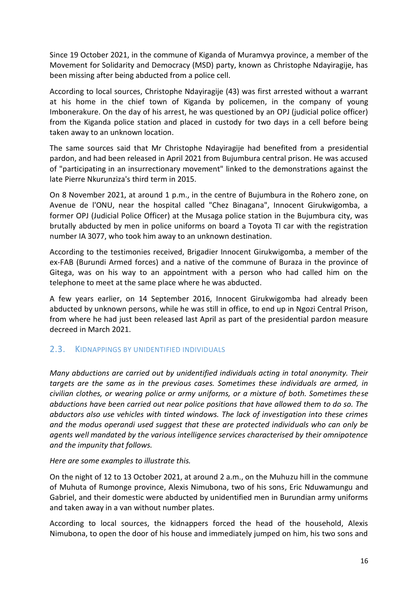Since 19 October 2021, in the commune of Kiganda of Muramvya province, a member of the Movement for Solidarity and Democracy (MSD) party, known as Christophe Ndayiragije, has been missing after being abducted from a police cell.

According to local sources, Christophe Ndayiragije (43) was first arrested without a warrant at his home in the chief town of Kiganda by policemen, in the company of young Imbonerakure. On the day of his arrest, he was questioned by an OPJ (judicial police officer) from the Kiganda police station and placed in custody for two days in a cell before being taken away to an unknown location.

The same sources said that Mr Christophe Ndayiragije had benefited from a presidential pardon, and had been released in April 2021 from Bujumbura central prison. He was accused of "participating in an insurrectionary movement" linked to the demonstrations against the late Pierre Nkurunziza's third term in 2015.

On 8 November 2021, at around 1 p.m., in the centre of Bujumbura in the Rohero zone, on Avenue de l'ONU, near the hospital called "Chez Binagana", Innocent Girukwigomba, a former OPJ (Judicial Police Officer) at the Musaga police station in the Bujumbura city, was brutally abducted by men in police uniforms on board a Toyota TI car with the registration number IA 3077, who took him away to an unknown destination.

According to the testimonies received, Brigadier Innocent Girukwigomba, a member of the ex-FAB (Burundi Armed forces) and a native of the commune of Buraza in the province of Gitega, was on his way to an appointment with a person who had called him on the telephone to meet at the same place where he was abducted.

A few years earlier, on 14 September 2016, Innocent Girukwigomba had already been abducted by unknown persons, while he was still in office, to end up in Ngozi Central Prison, from where he had just been released last April as part of the presidential pardon measure decreed in March 2021.

# <span id="page-15-0"></span>2.3. KIDNAPPINGS BY UNIDENTIFIED INDIVIDUALS

*Many abductions are carried out by unidentified individuals acting in total anonymity. Their targets are the same as in the previous cases. Sometimes these individuals are armed, in civilian clothes, or wearing police or army uniforms, or a mixture of both. Sometimes these abductions have been carried out near police positions that have allowed them to do so. The abductors also use vehicles with tinted windows. The lack of investigation into these crimes and the modus operandi used suggest that these are protected individuals who can only be agents well mandated by the various intelligence services characterised by their omnipotence and the impunity that follows.*

#### *Here are some examples to illustrate this.*

On the night of 12 to 13 October 2021, at around 2 a.m., on the Muhuzu hill in the commune of Muhuta of Rumonge province, Alexis Nimubona, two of his sons, Eric Nduwamungu and Gabriel, and their domestic were abducted by unidentified men in Burundian army uniforms and taken away in a van without number plates.

According to local sources, the kidnappers forced the head of the household, Alexis Nimubona, to open the door of his house and immediately jumped on him, his two sons and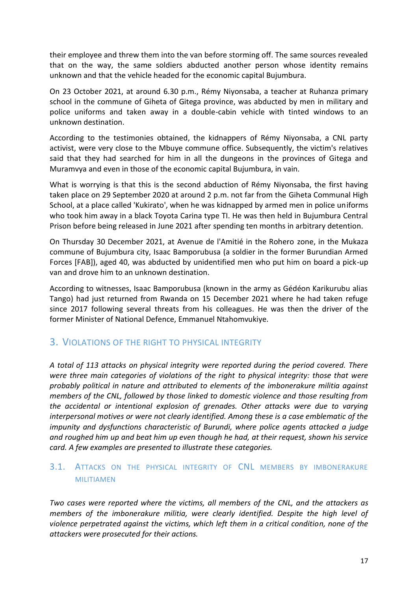their employee and threw them into the van before storming off. The same sources revealed that on the way, the same soldiers abducted another person whose identity remains unknown and that the vehicle headed for the economic capital Bujumbura.

On 23 October 2021, at around 6.30 p.m., Rémy Niyonsaba, a teacher at Ruhanza primary school in the commune of Giheta of Gitega province, was abducted by men in military and police uniforms and taken away in a double-cabin vehicle with tinted windows to an unknown destination.

According to the testimonies obtained, the kidnappers of Rémy Niyonsaba, a CNL party activist, were very close to the Mbuye commune office. Subsequently, the victim's relatives said that they had searched for him in all the dungeons in the provinces of Gitega and Muramvya and even in those of the economic capital Bujumbura, in vain.

What is worrying is that this is the second abduction of Rémy Niyonsaba, the first having taken place on 29 September 2020 at around 2 p.m. not far from the Giheta Communal High School, at a place called 'Kukirato', when he was kidnapped by armed men in police uniforms who took him away in a black Toyota Carina type TI. He was then held in Bujumbura Central Prison before being released in June 2021 after spending ten months in arbitrary detention.

On Thursday 30 December 2021, at Avenue de l'Amitié in the Rohero zone, in the Mukaza commune of Bujumbura city, Isaac Bamporubusa (a soldier in the former Burundian Armed Forces [FAB]), aged 40, was abducted by unidentified men who put him on board a pick-up van and drove him to an unknown destination.

According to witnesses, Isaac Bamporubusa (known in the army as Gédéon Karikurubu alias Tango) had just returned from Rwanda on 15 December 2021 where he had taken refuge since 2017 following several threats from his colleagues. He was then the driver of the former Minister of National Defence, Emmanuel Ntahomvukiye.

# <span id="page-16-0"></span>3. VIOLATIONS OF THE RIGHT TO PHYSICAL INTEGRITY

*A total of 113 attacks on physical integrity were reported during the period covered. There were three main categories of violations of the right to physical integrity: those that were probably political in nature and attributed to elements of the imbonerakure militia against members of the CNL, followed by those linked to domestic violence and those resulting from the accidental or intentional explosion of grenades. Other attacks were due to varying interpersonal motives or were not clearly identified. Among these is a case emblematic of the impunity and dysfunctions characteristic of Burundi, where police agents attacked a judge and roughed him up and beat him up even though he had, at their request, shown his service card. A few examples are presented to illustrate these categories.*

# <span id="page-16-1"></span>3.1. ATTACKS ON THE PHYSICAL INTEGRITY OF CNL MEMBERS BY IMBONERAKURE MILITIAMEN

*Two cases were reported where the victims, all members of the CNL, and the attackers as members of the imbonerakure militia, were clearly identified. Despite the high level of violence perpetrated against the victims, which left them in a critical condition, none of the attackers were prosecuted for their actions.*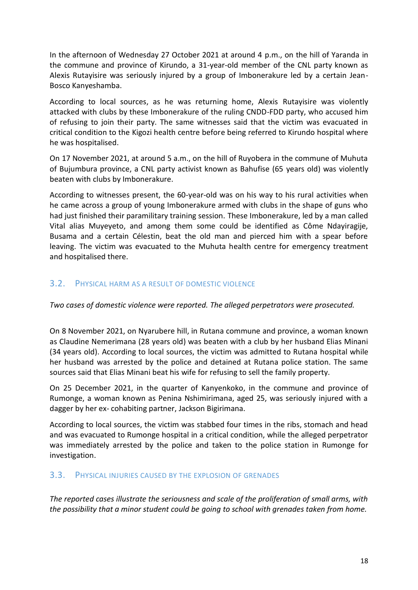In the afternoon of Wednesday 27 October 2021 at around 4 p.m., on the hill of Yaranda in the commune and province of Kirundo, a 31-year-old member of the CNL party known as Alexis Rutayisire was seriously injured by a group of Imbonerakure led by a certain Jean-Bosco Kanyeshamba.

According to local sources, as he was returning home, Alexis Rutayisire was violently attacked with clubs by these Imbonerakure of the ruling CNDD-FDD party, who accused him of refusing to join their party. The same witnesses said that the victim was evacuated in critical condition to the Kigozi health centre before being referred to Kirundo hospital where he was hospitalised.

On 17 November 2021, at around 5 a.m., on the hill of Ruyobera in the commune of Muhuta of Bujumbura province, a CNL party activist known as Bahufise (65 years old) was violently beaten with clubs by Imbonerakure.

According to witnesses present, the 60-year-old was on his way to his rural activities when he came across a group of young Imbonerakure armed with clubs in the shape of guns who had just finished their paramilitary training session. These Imbonerakure, led by a man called Vital alias Muyeyeto, and among them some could be identified as Côme Ndayiragije, Busama and a certain Célestin, beat the old man and pierced him with a spear before leaving. The victim was evacuated to the Muhuta health centre for emergency treatment and hospitalised there.

### <span id="page-17-0"></span>3.2. PHYSICAL HARM AS A RESULT OF DOMESTIC VIOLENCE

*Two cases of domestic violence were reported. The alleged perpetrators were prosecuted.*

On 8 November 2021, on Nyarubere hill, in Rutana commune and province, a woman known as Claudine Nemerimana (28 years old) was beaten with a club by her husband Elias Minani (34 years old). According to local sources, the victim was admitted to Rutana hospital while her husband was arrested by the police and detained at Rutana police station. The same sources said that Elias Minani beat his wife for refusing to sell the family property.

On 25 December 2021, in the quarter of Kanyenkoko, in the commune and province of Rumonge, a woman known as Penina Nshimirimana, aged 25, was seriously injured with a dagger by her ex- cohabiting partner, Jackson Bigirimana.

According to local sources, the victim was stabbed four times in the ribs, stomach and head and was evacuated to Rumonge hospital in a critical condition, while the alleged perpetrator was immediately arrested by the police and taken to the police station in Rumonge for investigation.

### <span id="page-17-1"></span>3.3. PHYSICAL INJURIES CAUSED BY THE EXPLOSION OF GRENADES

*The reported cases illustrate the seriousness and scale of the proliferation of small arms, with the possibility that a minor student could be going to school with grenades taken from home.*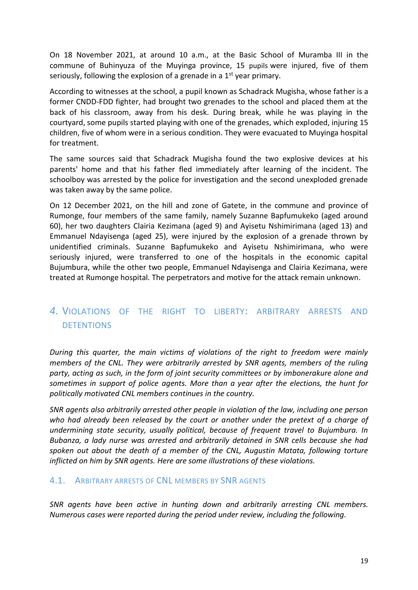On 18 November 2021, at around 10 a.m., at the Basic School of Muramba III in the commune of Buhinyuza of the Muyinga province, 15 pupils were injured, five of them seriously, following the explosion of a grenade in a  $1<sup>st</sup>$  year primary.

According to witnesses at the school, a pupil known as Schadrack Mugisha, whose father is a former CNDD-FDD fighter, had brought two grenades to the school and placed them at the back of his classroom, away from his desk. During break, while he was playing in the courtyard, some pupils started playing with one of the grenades, which exploded, injuring 15 children, five of whom were in a serious condition. They were evacuated to Muyinga hospital for treatment.

The same sources said that Schadrack Mugisha found the two explosive devices at his parents' home and that his father fled immediately after learning of the incident. The schoolboy was arrested by the police for investigation and the second unexploded grenade was taken away by the same police.

On 12 December 2021, on the hill and zone of Gatete, in the commune and province of Rumonge, four members of the same family, namely Suzanne Bapfumukeko (aged around 60), her two daughters Clairia Kezimana (aged 9) and Ayisetu Nshimirimana (aged 13) and Emmanuel Ndayisenga (aged 25), were injured by the explosion of a grenade thrown by unidentified criminals. Suzanne Bapfumukeko and Ayisetu Nshimirimana, who were seriously injured, were transferred to one of the hospitals in the economic capital Bujumbura, while the other two people, Emmanuel Ndayisenga and Clairia Kezimana, were treated at Rumonge hospital. The perpetrators and motive for the attack remain unknown.

# <span id="page-18-0"></span>*4.* VIOLATIONS OF THE RIGHT TO LIBERTY: ARBITRARY ARRESTS AND **DETENTIONS**

*During this quarter, the main victims of violations of the right to freedom were mainly members of the CNL. They were arbitrarily arrested by SNR agents, members of the ruling party, acting as such, in the form of joint security committees or by imbonerakure alone and sometimes in support of police agents. More than a year after the elections, the hunt for politically motivated CNL members continues in the country.*

*SNR agents also arbitrarily arrested other people in violation of the law, including one person who had already been released by the court or another under the pretext of a charge of undermining state security, usually political, because of frequent travel to Bujumbura. In Bubanza, a lady nurse was arrested and arbitrarily detained in SNR cells because she had spoken out about the death of a member of the CNL, Augustin Matata, following torture inflicted on him by SNR agents. Here are some illustrations of these violations.* 

#### <span id="page-18-1"></span>4.1. ARBITRARY ARRESTS OF CNL MEMBERS BY SNR AGENTS

*SNR agents have been active in hunting down and arbitrarily arresting CNL members. Numerous cases were reported during the period under review, including the following.*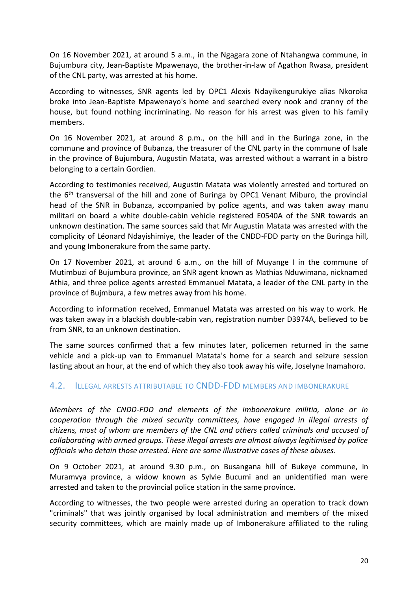On 16 November 2021, at around 5 a.m., in the Ngagara zone of Ntahangwa commune, in Bujumbura city, Jean-Baptiste Mpawenayo, the brother-in-law of Agathon Rwasa, president of the CNL party, was arrested at his home.

According to witnesses, SNR agents led by OPC1 Alexis Ndayikengurukiye alias Nkoroka broke into Jean-Baptiste Mpawenayo's home and searched every nook and cranny of the house, but found nothing incriminating. No reason for his arrest was given to his family members.

On 16 November 2021, at around 8 p.m., on the hill and in the Buringa zone, in the commune and province of Bubanza, the treasurer of the CNL party in the commune of Isale in the province of Bujumbura, Augustin Matata, was arrested without a warrant in a bistro belonging to a certain Gordien.

According to testimonies received, Augustin Matata was violently arrested and tortured on the 6<sup>th</sup> transversal of the hill and zone of Buringa by OPC1 Venant Miburo, the provincial head of the SNR in Bubanza, accompanied by police agents, and was taken away manu militari on board a white double-cabin vehicle registered E0540A of the SNR towards an unknown destination. The same sources said that Mr Augustin Matata was arrested with the complicity of Léonard Ndayishimiye, the leader of the CNDD-FDD party on the Buringa hill, and young Imbonerakure from the same party.

On 17 November 2021, at around 6 a.m., on the hill of Muyange I in the commune of Mutimbuzi of Bujumbura province, an SNR agent known as Mathias Nduwimana, nicknamed Athia, and three police agents arrested Emmanuel Matata, a leader of the CNL party in the province of Bujmbura, a few metres away from his home.

According to information received, Emmanuel Matata was arrested on his way to work. He was taken away in a blackish double-cabin van, registration number D3974A, believed to be from SNR, to an unknown destination.

The same sources confirmed that a few minutes later, policemen returned in the same vehicle and a pick-up van to Emmanuel Matata's home for a search and seizure session lasting about an hour, at the end of which they also took away his wife, Joselyne Inamahoro.

### <span id="page-19-0"></span>4.2. ILLEGAL ARRESTS ATTRIBUTABLE TO CNDD-FDD MEMBERS AND IMBONERAKURE

*Members of the CNDD-FDD and elements of the imbonerakure militia, alone or in cooperation through the mixed security committees, have engaged in illegal arrests of citizens, most of whom are members of the CNL and others called criminals and accused of collaborating with armed groups. These illegal arrests are almost always legitimised by police officials who detain those arrested. Here are some illustrative cases of these abuses.* 

On 9 October 2021, at around 9.30 p.m., on Busangana hill of Bukeye commune, in Muramvya province, a widow known as Sylvie Bucumi and an unidentified man were arrested and taken to the provincial police station in the same province.

According to witnesses, the two people were arrested during an operation to track down "criminals" that was jointly organised by local administration and members of the mixed security committees, which are mainly made up of Imbonerakure affiliated to the ruling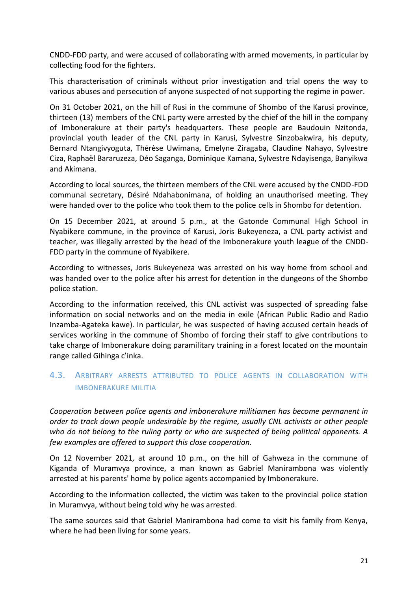CNDD-FDD party, and were accused of collaborating with armed movements, in particular by collecting food for the fighters.

This characterisation of criminals without prior investigation and trial opens the way to various abuses and persecution of anyone suspected of not supporting the regime in power.

On 31 October 2021, on the hill of Rusi in the commune of Shombo of the Karusi province, thirteen (13) members of the CNL party were arrested by the chief of the hill in the company of Imbonerakure at their party's headquarters. These people are Baudouin Nzitonda, provincial youth leader of the CNL party in Karusi, Sylvestre Sinzobakwira, his deputy, Bernard Ntangivyoguta, Thérèse Uwimana, Emelyne Ziragaba, Claudine Nahayo, Sylvestre Ciza, Raphaël Bararuzeza, Déo Saganga, Dominique Kamana, Sylvestre Ndayisenga, Banyikwa and Akimana.

According to local sources, the thirteen members of the CNL were accused by the CNDD-FDD communal secretary, Désiré Ndahabonimana, of holding an unauthorised meeting. They were handed over to the police who took them to the police cells in Shombo for detention.

On 15 December 2021, at around 5 p.m., at the Gatonde Communal High School in Nyabikere commune, in the province of Karusi, Joris Bukeyeneza, a CNL party activist and teacher, was illegally arrested by the head of the Imbonerakure youth league of the CNDD-FDD party in the commune of Nyabikere.

According to witnesses, Joris Bukeyeneza was arrested on his way home from school and was handed over to the police after his arrest for detention in the dungeons of the Shombo police station.

According to the information received, this CNL activist was suspected of spreading false information on social networks and on the media in exile (African Public Radio and Radio Inzamba-Agateka kawe). In particular, he was suspected of having accused certain heads of services working in the commune of Shombo of forcing their staff to give contributions to take charge of Imbonerakure doing paramilitary training in a forest located on the mountain range called Gihinga c'inka.

# <span id="page-20-0"></span>4.3. ARBITRARY ARRESTS ATTRIBUTED TO POLICE AGENTS IN COLLABORATION WITH IMBONERAKURE MILITIA

*Cooperation between police agents and imbonerakure militiamen has become permanent in order to track down people undesirable by the regime, usually CNL activists or other people who do not belong to the ruling party or who are suspected of being political opponents. A few examples are offered to support this close cooperation.*

On 12 November 2021, at around 10 p.m., on the hill of Gahweza in the commune of Kiganda of Muramvya province, a man known as Gabriel Manirambona was violently arrested at his parents' home by police agents accompanied by Imbonerakure.

According to the information collected, the victim was taken to the provincial police station in Muramvya, without being told why he was arrested.

The same sources said that Gabriel Manirambona had come to visit his family from Kenya, where he had been living for some years.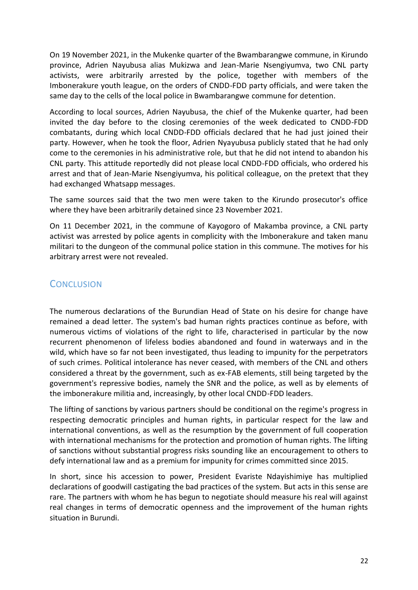On 19 November 2021, in the Mukenke quarter of the Bwambarangwe commune, in Kirundo province, Adrien Nayubusa alias Mukizwa and Jean-Marie Nsengiyumva, two CNL party activists, were arbitrarily arrested by the police, together with members of the Imbonerakure youth league, on the orders of CNDD-FDD party officials, and were taken the same day to the cells of the local police in Bwambarangwe commune for detention.

According to local sources, Adrien Nayubusa, the chief of the Mukenke quarter, had been invited the day before to the closing ceremonies of the week dedicated to CNDD-FDD combatants, during which local CNDD-FDD officials declared that he had just joined their party. However, when he took the floor, Adrien Nyayubusa publicly stated that he had only come to the ceremonies in his administrative role, but that he did not intend to abandon his CNL party. This attitude reportedly did not please local CNDD-FDD officials, who ordered his arrest and that of Jean-Marie Nsengiyumva, his political colleague, on the pretext that they had exchanged Whatsapp messages.

The same sources said that the two men were taken to the Kirundo prosecutor's office where they have been arbitrarily detained since 23 November 2021.

On 11 December 2021, in the commune of Kayogoro of Makamba province, a CNL party activist was arrested by police agents in complicity with the Imbonerakure and taken manu militari to the dungeon of the communal police station in this commune. The motives for his arbitrary arrest were not revealed.

# <span id="page-21-0"></span>**CONCLUSION**

The numerous declarations of the Burundian Head of State on his desire for change have remained a dead letter. The system's bad human rights practices continue as before, with numerous victims of violations of the right to life, characterised in particular by the now recurrent phenomenon of lifeless bodies abandoned and found in waterways and in the wild, which have so far not been investigated, thus leading to impunity for the perpetrators of such crimes. Political intolerance has never ceased, with members of the CNL and others considered a threat by the government, such as ex-FAB elements, still being targeted by the government's repressive bodies, namely the SNR and the police, as well as by elements of the imbonerakure militia and, increasingly, by other local CNDD-FDD leaders.

The lifting of sanctions by various partners should be conditional on the regime's progress in respecting democratic principles and human rights, in particular respect for the law and international conventions, as well as the resumption by the government of full cooperation with international mechanisms for the protection and promotion of human rights. The lifting of sanctions without substantial progress risks sounding like an encouragement to others to defy international law and as a premium for impunity for crimes committed since 2015.

In short, since his accession to power, President Evariste Ndayishimiye has multiplied declarations of goodwill castigating the bad practices of the system. But acts in this sense are rare. The partners with whom he has begun to negotiate should measure his real will against real changes in terms of democratic openness and the improvement of the human rights situation in Burundi.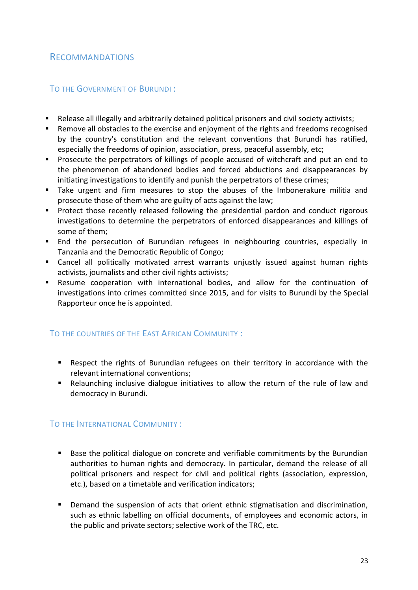# <span id="page-22-0"></span>RECOMMANDATIONS

## <span id="page-22-1"></span>TO THE GOVERNMENT OF BURUNDI :

- Release all illegally and arbitrarily detained political prisoners and civil society activists;
- Remove all obstacles to the exercise and enjoyment of the rights and freedoms recognised by the country's constitution and the relevant conventions that Burundi has ratified, especially the freedoms of opinion, association, press, peaceful assembly, etc;
- Prosecute the perpetrators of killings of people accused of witchcraft and put an end to the phenomenon of abandoned bodies and forced abductions and disappearances by initiating investigations to identify and punish the perpetrators of these crimes;
- Take urgent and firm measures to stop the abuses of the Imbonerakure militia and prosecute those of them who are guilty of acts against the law;
- **•** Protect those recently released following the presidential pardon and conduct rigorous investigations to determine the perpetrators of enforced disappearances and killings of some of them;
- End the persecution of Burundian refugees in neighbouring countries, especially in Tanzania and the Democratic Republic of Congo;
- Cancel all politically motivated arrest warrants unjustly issued against human rights activists, journalists and other civil rights activists;
- Resume cooperation with international bodies, and allow for the continuation of investigations into crimes committed since 2015, and for visits to Burundi by the Special Rapporteur once he is appointed.

# <span id="page-22-2"></span>TO THE COUNTRIES OF THE EAST AFRICAN COMMUNITY :

- Respect the rights of Burundian refugees on their territory in accordance with the relevant international conventions;
- Relaunching inclusive dialogue initiatives to allow the return of the rule of law and democracy in Burundi.

# <span id="page-22-3"></span>TO THE INTERNATIONAL COMMUNITY :

- Base the political dialogue on concrete and verifiable commitments by the Burundian authorities to human rights and democracy. In particular, demand the release of all political prisoners and respect for civil and political rights (association, expression, etc.), based on a timetable and verification indicators;
- Demand the suspension of acts that orient ethnic stigmatisation and discrimination, such as ethnic labelling on official documents, of employees and economic actors, in the public and private sectors; selective work of the TRC, etc.